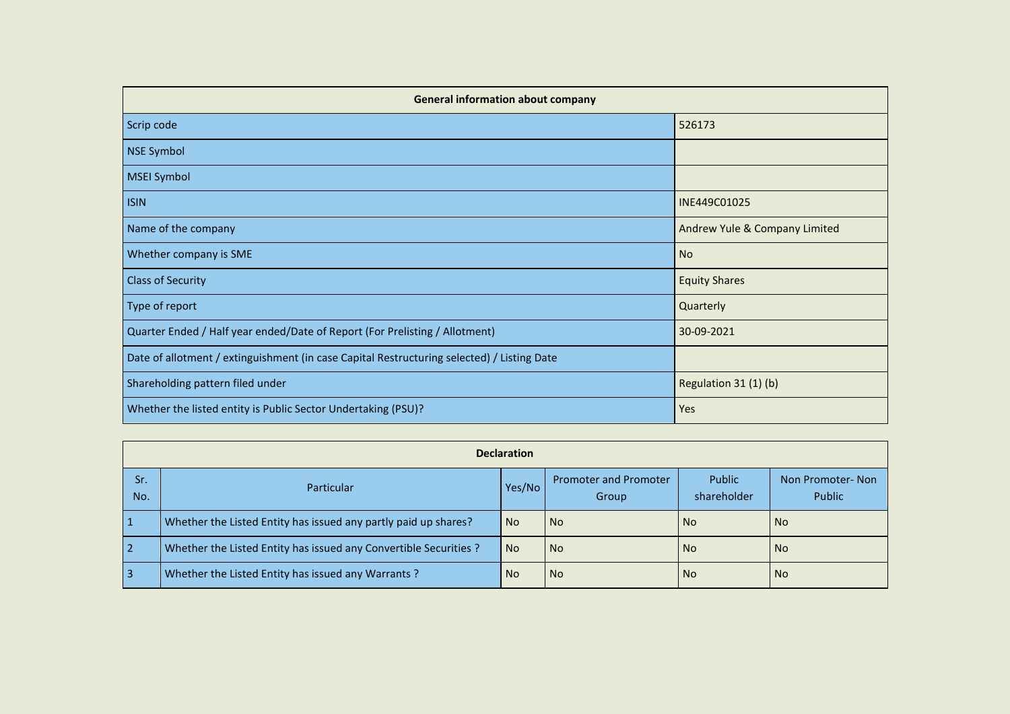| <b>General information about company</b>                                                   |                               |  |  |  |  |  |  |  |  |
|--------------------------------------------------------------------------------------------|-------------------------------|--|--|--|--|--|--|--|--|
| Scrip code                                                                                 | 526173                        |  |  |  |  |  |  |  |  |
| NSE Symbol                                                                                 |                               |  |  |  |  |  |  |  |  |
| <b>MSEI Symbol</b>                                                                         |                               |  |  |  |  |  |  |  |  |
| <b>ISIN</b>                                                                                | INE449C01025                  |  |  |  |  |  |  |  |  |
| Name of the company                                                                        | Andrew Yule & Company Limited |  |  |  |  |  |  |  |  |
| Whether company is SME                                                                     | <b>No</b>                     |  |  |  |  |  |  |  |  |
| <b>Class of Security</b>                                                                   | <b>Equity Shares</b>          |  |  |  |  |  |  |  |  |
| Type of report                                                                             | Quarterly                     |  |  |  |  |  |  |  |  |
| Quarter Ended / Half year ended/Date of Report (For Prelisting / Allotment)                | 30-09-2021                    |  |  |  |  |  |  |  |  |
| Date of allotment / extinguishment (in case Capital Restructuring selected) / Listing Date |                               |  |  |  |  |  |  |  |  |
| Shareholding pattern filed under                                                           | Regulation 31 (1) (b)         |  |  |  |  |  |  |  |  |
| Whether the listed entity is Public Sector Undertaking (PSU)?                              | Yes                           |  |  |  |  |  |  |  |  |

|                | <b>Declaration</b>                                                |           |                                       |                       |                            |  |  |  |  |  |  |  |  |
|----------------|-------------------------------------------------------------------|-----------|---------------------------------------|-----------------------|----------------------------|--|--|--|--|--|--|--|--|
| Sr.<br>No.     | <b>Particular</b>                                                 | Yes/No    | <b>Promoter and Promoter</b><br>Group | Public<br>shareholder | Non Promoter-Non<br>Public |  |  |  |  |  |  |  |  |
| $\mathbf{1}$   | Whether the Listed Entity has issued any partly paid up shares?   | <b>No</b> | l No                                  | No.                   | l No                       |  |  |  |  |  |  |  |  |
| $\overline{2}$ | Whether the Listed Entity has issued any Convertible Securities ? | <b>No</b> | l No                                  | No.                   | l No                       |  |  |  |  |  |  |  |  |
| $\overline{3}$ | Whether the Listed Entity has issued any Warrants?                | <b>No</b> | <b>No</b>                             | No.                   | l No                       |  |  |  |  |  |  |  |  |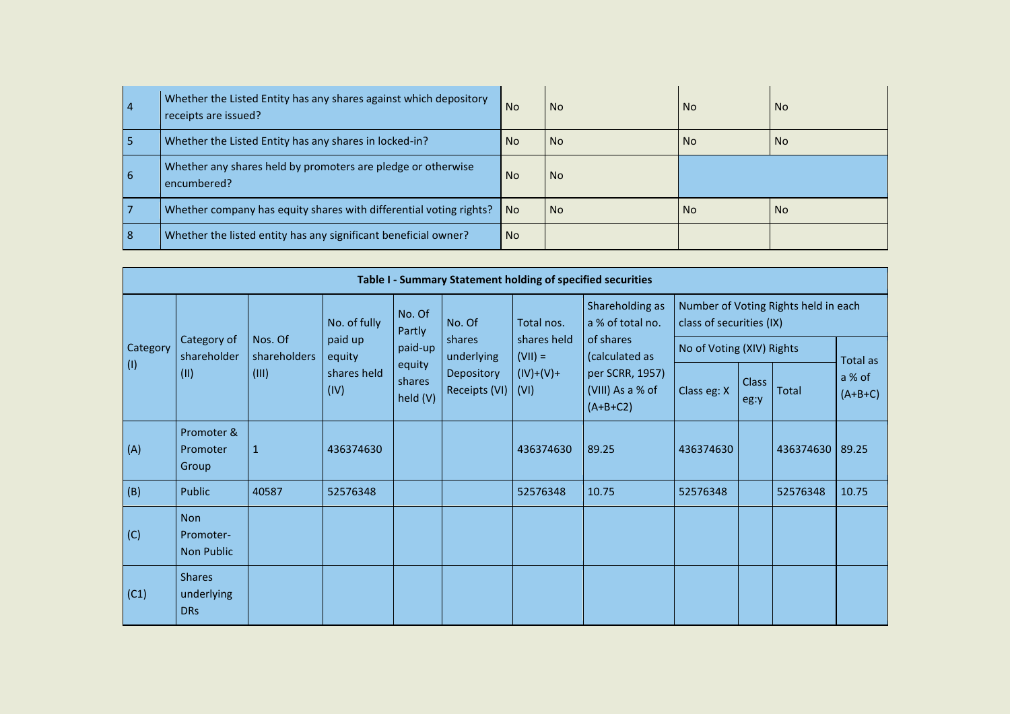| $\vert 4$  | Whether the Listed Entity has any shares against which depository<br>receipts are issued? | <b>No</b> | <b>No</b> | <b>No</b> | <b>No</b> |
|------------|-------------------------------------------------------------------------------------------|-----------|-----------|-----------|-----------|
| 15         | Whether the Listed Entity has any shares in locked-in?                                    | <b>No</b> | <b>No</b> | <b>No</b> | l No      |
| <u>  6</u> | Whether any shares held by promoters are pledge or otherwise<br>encumbered?               | <b>No</b> | <b>No</b> |           |           |
|            | Whether company has equity shares with differential voting rights?                        | No.       | <b>No</b> | <b>No</b> | l No      |
| <u>  8</u> | Whether the listed entity has any significant beneficial owner?                           | <b>No</b> |           |           |           |

|             | Table I - Summary Statement holding of specified securities |                         |                     |                              |                             |                          |                                                   |                           |                      |                                      |                     |  |  |  |
|-------------|-------------------------------------------------------------|-------------------------|---------------------|------------------------------|-----------------------------|--------------------------|---------------------------------------------------|---------------------------|----------------------|--------------------------------------|---------------------|--|--|--|
|             |                                                             |                         | No. of fully        | No. Of<br>Partly             | No. Of                      | Total nos.               | Shareholding as<br>a % of total no.               | class of securities (IX)  |                      | Number of Voting Rights held in each |                     |  |  |  |
| Category    | Category of<br>shareholder                                  | Nos. Of<br>shareholders | paid up<br>equity   | paid-up                      | shares<br>underlying        | shares held<br>$(VII) =$ | of shares<br>(calculated as                       | No of Voting (XIV) Rights |                      | Total as                             |                     |  |  |  |
| $\vert$ (1) | (11)                                                        | (III)                   | shares held<br>(IV) | equity<br>shares<br>held (V) | Depository<br>Receipts (VI) | $(IV)+(V)+$<br>(VI)      | per SCRR, 1957)<br>(VIII) As a % of<br>$(A+B+C2)$ | Class eg: X               | <b>Class</b><br>eg:y | Total                                | a % of<br>$(A+B+C)$ |  |  |  |
| (A)         | Promoter &<br>Promoter<br>Group                             | $\mathbf{1}$            | 436374630           |                              |                             | 436374630                | 89.25                                             | 436374630                 |                      | 436374630                            | 89.25               |  |  |  |
| (B)         | Public                                                      | 40587                   | 52576348            |                              |                             | 52576348                 | 10.75                                             | 52576348                  |                      | 52576348                             | 10.75               |  |  |  |
| (C)         | <b>Non</b><br>Promoter-<br>Non Public                       |                         |                     |                              |                             |                          |                                                   |                           |                      |                                      |                     |  |  |  |
| (C1)        | <b>Shares</b><br>underlying<br><b>DRs</b>                   |                         |                     |                              |                             |                          |                                                   |                           |                      |                                      |                     |  |  |  |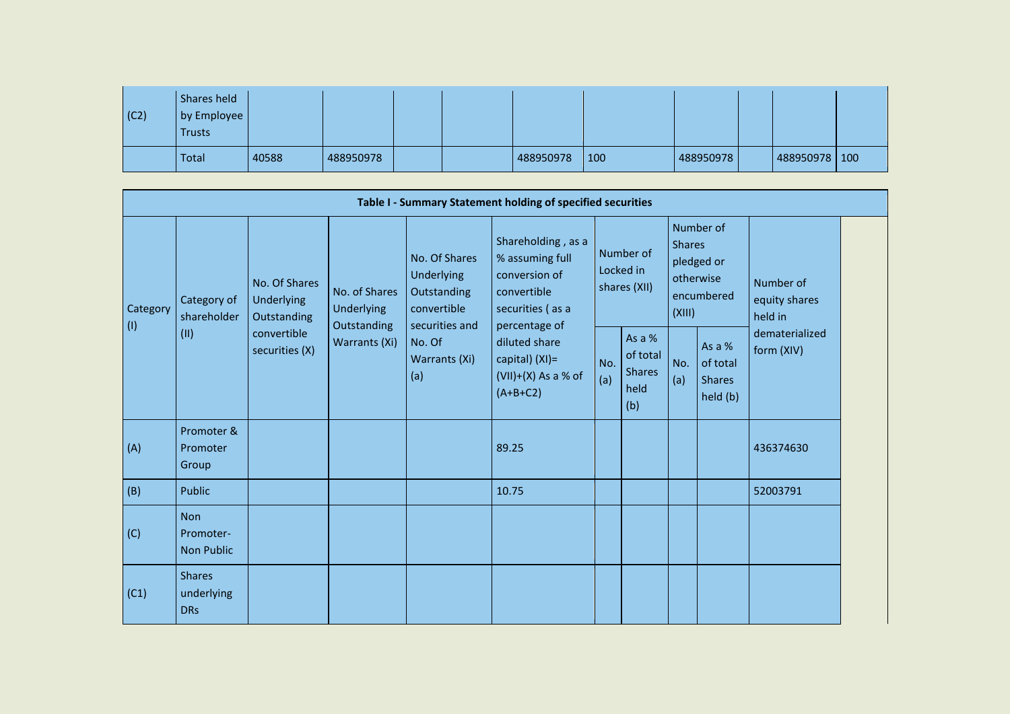| $\vert$ (C2) | Shares held<br>by Employee<br>Trusts |       |           |  |           |     |           |                 |  |
|--------------|--------------------------------------|-------|-----------|--|-----------|-----|-----------|-----------------|--|
|              | Total                                | 40588 | 488950978 |  | 488950978 | 100 | 488950978 | 488950978   100 |  |

| Table I - Summary Statement holding of specified securities |                                              |                                                                             |                                                                    |                                                                                                               |                                                                                                            |                                        |                                                    |                                                                               |                                                 |                                       |  |  |
|-------------------------------------------------------------|----------------------------------------------|-----------------------------------------------------------------------------|--------------------------------------------------------------------|---------------------------------------------------------------------------------------------------------------|------------------------------------------------------------------------------------------------------------|----------------------------------------|----------------------------------------------------|-------------------------------------------------------------------------------|-------------------------------------------------|---------------------------------------|--|--|
| Category<br>$\vert$ (l)                                     | Category of<br>shareholder<br>(II)           | No. Of Shares<br>Underlying<br>Outstanding<br>convertible<br>securities (X) | No. of Shares<br><b>Underlying</b><br>Outstanding<br>Warrants (Xi) | No. Of Shares<br>Underlying<br>Outstanding<br>convertible<br>securities and<br>No. Of<br>Warrants (Xi)<br>(a) | Shareholding, as a<br>% assuming full<br>conversion of<br>convertible<br>securities (as a<br>percentage of | Number of<br>Locked in<br>shares (XII) |                                                    | Number of<br><b>Shares</b><br>pledged or<br>otherwise<br>encumbered<br>(XIII) |                                                 | Number of<br>equity shares<br>held in |  |  |
|                                                             |                                              |                                                                             |                                                                    |                                                                                                               | diluted share<br>capital) (XI)=<br>$(VII)+(X)$ As a % of<br>$(A+B+C2)$                                     | No.<br>(a)                             | As a %<br>of total<br><b>Shares</b><br>held<br>(b) | No.<br>(a)                                                                    | As a %<br>of total<br><b>Shares</b><br>held (b) | dematerialized<br>form (XIV)          |  |  |
| (A)                                                         | Promoter &<br>Promoter<br>Group              |                                                                             |                                                                    |                                                                                                               | 89.25                                                                                                      |                                        |                                                    |                                                                               |                                                 | 436374630                             |  |  |
| (B)                                                         | Public                                       |                                                                             |                                                                    |                                                                                                               | 10.75                                                                                                      |                                        |                                                    |                                                                               |                                                 | 52003791                              |  |  |
| (C)                                                         | <b>Non</b><br>Promoter-<br><b>Non Public</b> |                                                                             |                                                                    |                                                                                                               |                                                                                                            |                                        |                                                    |                                                                               |                                                 |                                       |  |  |
| (C1)                                                        | <b>Shares</b><br>underlying<br><b>DRs</b>    |                                                                             |                                                                    |                                                                                                               |                                                                                                            |                                        |                                                    |                                                                               |                                                 |                                       |  |  |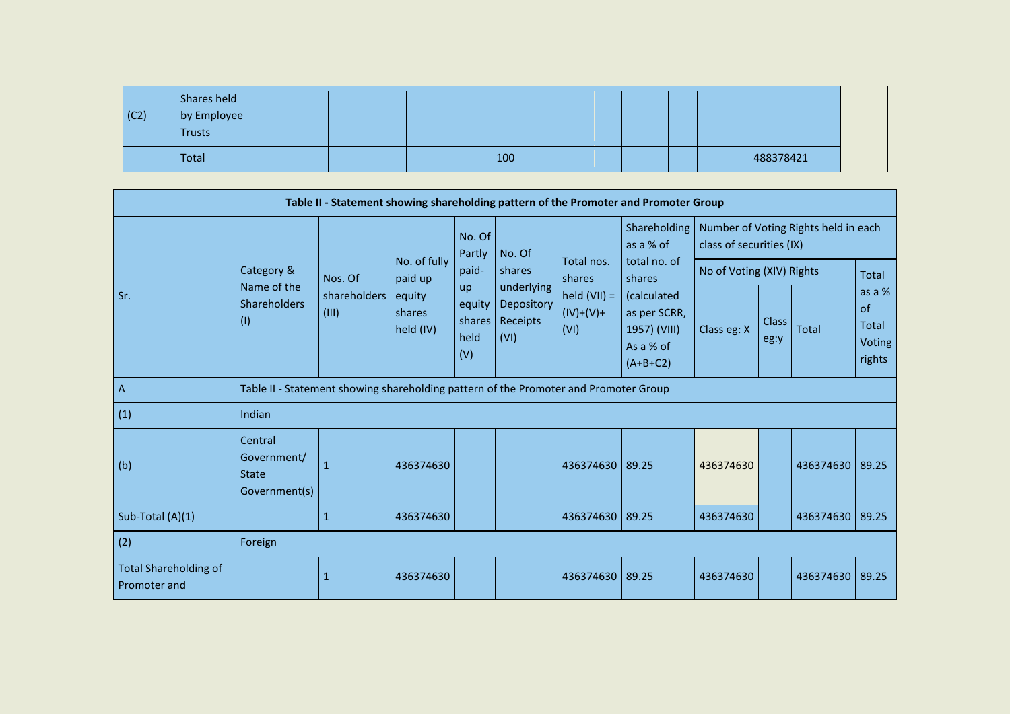| $\vert$ (C2) | Shares held<br>by Employee<br>Trusts |  |     |  |  |           |
|--------------|--------------------------------------|--|-----|--|--|-----------|
|              | Total                                |  | 100 |  |  | 488378421 |

| Table II - Statement showing shareholding pattern of the Promoter and Promoter Group |                                                         |                                                                                      |                               |                                       |                                              |                                       |                                                                        |                           |                      |                                      |                                                  |  |
|--------------------------------------------------------------------------------------|---------------------------------------------------------|--------------------------------------------------------------------------------------|-------------------------------|---------------------------------------|----------------------------------------------|---------------------------------------|------------------------------------------------------------------------|---------------------------|----------------------|--------------------------------------|--------------------------------------------------|--|
|                                                                                      |                                                         |                                                                                      |                               | No. Of<br>Partly                      | No. Of                                       |                                       | Shareholding<br>as a $%$ of                                            | class of securities (IX)  |                      | Number of Voting Rights held in each |                                                  |  |
|                                                                                      | Category &                                              | Nos. Of                                                                              | No. of fully<br>paid up       | paid-                                 | shares                                       | Total nos.<br>shares                  | total no. of<br>shares                                                 | No of Voting (XIV) Rights |                      |                                      | <b>Total</b>                                     |  |
| Sr.                                                                                  | Name of the<br><b>Shareholders</b><br>(1)               | shareholders<br>(III)                                                                | equity<br>shares<br>held (IV) | up<br>equity<br>shares<br>held<br>(V) | underlying<br>Depository<br>Receipts<br>(VI) | held $(VII) =$<br>$(IV)+(V)+$<br>(VI) | (calculated<br>as per SCRR,<br>1957) (VIII)<br>As a % of<br>$(A+B+C2)$ | Class eg: X               | <b>Class</b><br>eg:y | <b>Total</b>                         | as a %<br>of<br><b>Total</b><br>Voting<br>rights |  |
| $\mathsf{A}$                                                                         |                                                         | Table II - Statement showing shareholding pattern of the Promoter and Promoter Group |                               |                                       |                                              |                                       |                                                                        |                           |                      |                                      |                                                  |  |
| (1)                                                                                  | Indian                                                  |                                                                                      |                               |                                       |                                              |                                       |                                                                        |                           |                      |                                      |                                                  |  |
| (b)                                                                                  | Central<br>Government/<br><b>State</b><br>Government(s) | 1                                                                                    | 436374630                     |                                       |                                              | 436374630 89.25                       |                                                                        | 436374630                 |                      | 436374630                            | 89.25                                            |  |
| Sub-Total (A)(1)                                                                     |                                                         | $\mathbf{1}$                                                                         | 436374630                     |                                       |                                              | 436374630                             | 89.25                                                                  | 436374630                 |                      | 436374630                            | 89.25                                            |  |
| (2)                                                                                  | Foreign                                                 |                                                                                      |                               |                                       |                                              |                                       |                                                                        |                           |                      |                                      |                                                  |  |
| <b>Total Shareholding of</b><br>Promoter and                                         |                                                         | 1                                                                                    | 436374630                     |                                       |                                              | 436374630                             | 89.25                                                                  | 436374630                 |                      | 436374630                            | 89.25                                            |  |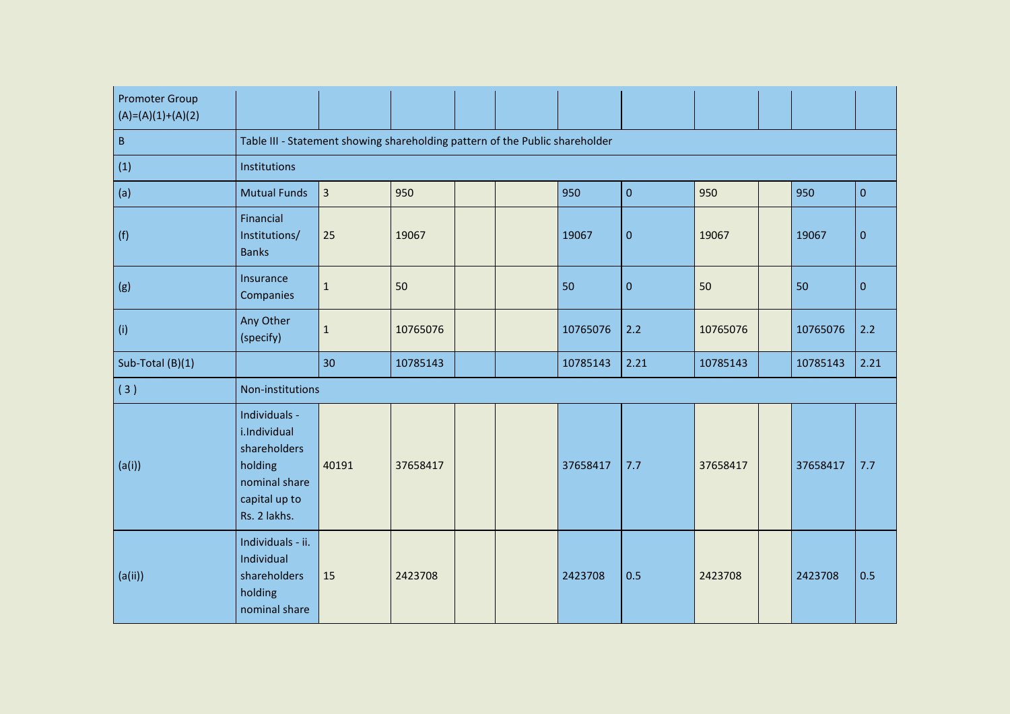| <b>Promoter Group</b><br>$(A)=(A)(1)+(A)(2)$ |                                                                                                            |                |          |  |  |          |             |          |  |          |           |  |  |
|----------------------------------------------|------------------------------------------------------------------------------------------------------------|----------------|----------|--|--|----------|-------------|----------|--|----------|-----------|--|--|
| $\sf B$                                      | Table III - Statement showing shareholding pattern of the Public shareholder                               |                |          |  |  |          |             |          |  |          |           |  |  |
| (1)                                          | Institutions                                                                                               |                |          |  |  |          |             |          |  |          |           |  |  |
| (a)                                          | <b>Mutual Funds</b>                                                                                        | $\overline{3}$ | 950      |  |  | 950      | $\mathbf 0$ | 950      |  | 950      | $\pmb{0}$ |  |  |
| (f)                                          | Financial<br>Institutions/<br><b>Banks</b>                                                                 | 25             | 19067    |  |  | 19067    | $\pmb{0}$   | 19067    |  | 19067    | $\pmb{0}$ |  |  |
| (g)                                          | Insurance<br>Companies                                                                                     | $\mathbf 1$    | 50       |  |  | 50       | $\pmb{0}$   | 50       |  | 50       | $\pmb{0}$ |  |  |
| (i)                                          | Any Other<br>(specify)                                                                                     | $\mathbf{1}$   | 10765076 |  |  | 10765076 | 2.2         | 10765076 |  | 10765076 | 2.2       |  |  |
| Sub-Total (B)(1)                             |                                                                                                            | 30             | 10785143 |  |  | 10785143 | 2.21        | 10785143 |  | 10785143 | 2.21      |  |  |
| (3)                                          | Non-institutions                                                                                           |                |          |  |  |          |             |          |  |          |           |  |  |
| (a(i))                                       | Individuals -<br>i.Individual<br>shareholders<br>holding<br>nominal share<br>capital up to<br>Rs. 2 lakhs. | 40191          | 37658417 |  |  | 37658417 | 7.7         | 37658417 |  | 37658417 | 7.7       |  |  |
| (a(ii))                                      | Individuals - ii.<br>Individual<br>shareholders<br>holding<br>nominal share                                | 15             | 2423708  |  |  | 2423708  | 0.5         | 2423708  |  | 2423708  | 0.5       |  |  |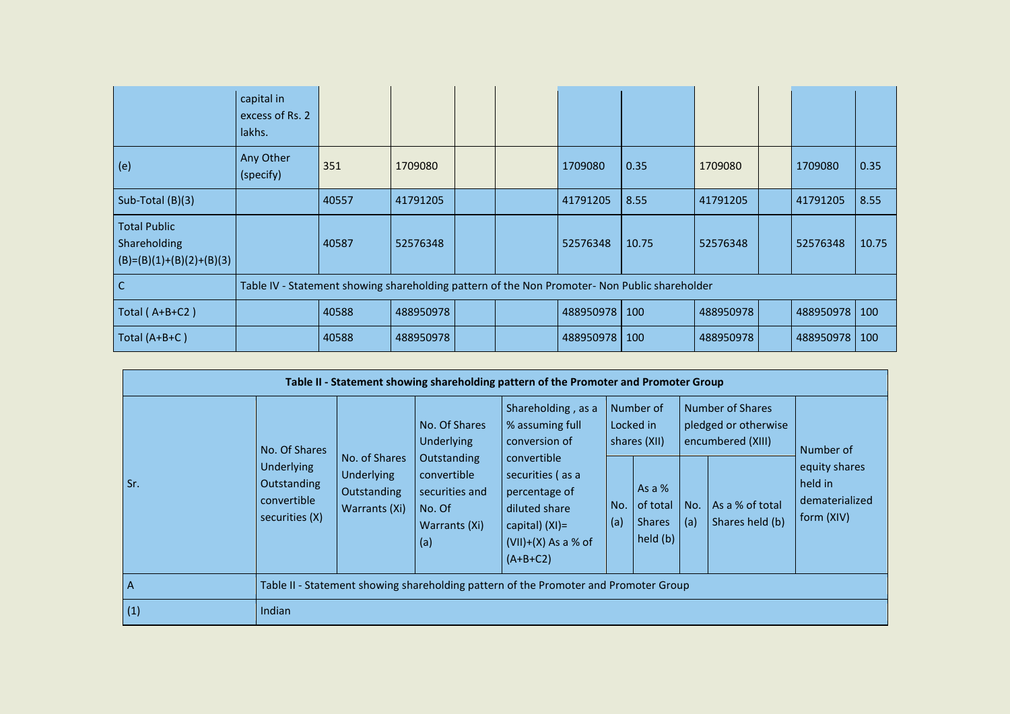|                                                                   | capital in<br>excess of Rs. 2<br>lakhs. |       |                                                                                               |  |  |           |       |           |  |           |       |
|-------------------------------------------------------------------|-----------------------------------------|-------|-----------------------------------------------------------------------------------------------|--|--|-----------|-------|-----------|--|-----------|-------|
| (e)                                                               | Any Other<br>(specify)                  | 351   | 1709080                                                                                       |  |  | 1709080   | 0.35  | 1709080   |  | 1709080   | 0.35  |
| Sub-Total (B)(3)                                                  |                                         | 40557 | 41791205                                                                                      |  |  | 41791205  | 8.55  | 41791205  |  | 41791205  | 8.55  |
| <b>Total Public</b><br>Shareholding<br>$(B)=(B)(1)+(B)(2)+(B)(3)$ |                                         | 40587 | 52576348                                                                                      |  |  | 52576348  | 10.75 | 52576348  |  | 52576348  | 10.75 |
| С                                                                 |                                         |       | Table IV - Statement showing shareholding pattern of the Non Promoter- Non Public shareholder |  |  |           |       |           |  |           |       |
| Total ( $A+B+C2$ )                                                |                                         | 40588 | 488950978                                                                                     |  |  | 488950978 | 100   | 488950978 |  | 488950978 | 100   |
| Total (A+B+C)                                                     |                                         | 40588 | 488950978                                                                                     |  |  | 488950978 | 100   | 488950978 |  | 488950978 | 100   |

| Table II - Statement showing shareholding pattern of the Promoter and Promoter Group |                                                                   |                                                                                                                                                      |                             |                                                                                                                               |                                        |                                                 |            |                                                               |                                                          |  |  |  |
|--------------------------------------------------------------------------------------|-------------------------------------------------------------------|------------------------------------------------------------------------------------------------------------------------------------------------------|-----------------------------|-------------------------------------------------------------------------------------------------------------------------------|----------------------------------------|-------------------------------------------------|------------|---------------------------------------------------------------|----------------------------------------------------------|--|--|--|
|                                                                                      | No. Of Shares                                                     |                                                                                                                                                      | No. Of Shares<br>Underlying | Shareholding, as a<br>% assuming full<br>conversion of                                                                        | Number of<br>Locked in<br>shares (XII) |                                                 |            | Number of Shares<br>pledged or otherwise<br>encumbered (XIII) | Number of                                                |  |  |  |
| Sr.                                                                                  | <b>Underlying</b><br>Outstanding<br>convertible<br>securities (X) | No. of Shares<br>Outstanding<br><b>Underlying</b><br>convertible<br>securities and<br>Outstanding<br>Warrants (Xi)<br>No. Of<br>Warrants (Xi)<br>(a) |                             | convertible<br>securities (as a<br>percentage of<br>diluted share<br>capital) $(XI)$ =<br>$(VII)+(X)$ As a % of<br>$(A+B+C2)$ | No.<br>(a)                             | As a %<br>of total<br><b>Shares</b><br>held (b) | No.<br>(a) | As a % of total<br>Shares held (b)                            | equity shares<br>held in<br>dematerialized<br>form (XIV) |  |  |  |
| l A                                                                                  |                                                                   |                                                                                                                                                      |                             | Table II - Statement showing shareholding pattern of the Promoter and Promoter Group                                          |                                        |                                                 |            |                                                               |                                                          |  |  |  |
| (1)                                                                                  | Indian                                                            |                                                                                                                                                      |                             |                                                                                                                               |                                        |                                                 |            |                                                               |                                                          |  |  |  |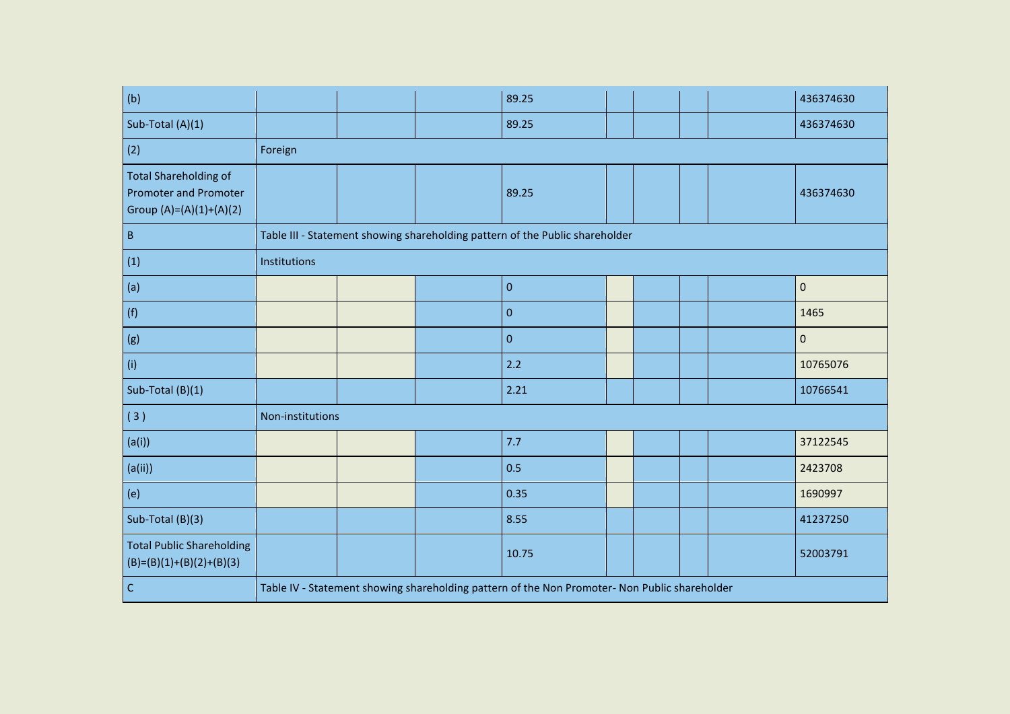| (b)                                                                                     |                  |  | 89.25                                                                                         |  |  | 436374630 |
|-----------------------------------------------------------------------------------------|------------------|--|-----------------------------------------------------------------------------------------------|--|--|-----------|
| Sub-Total (A)(1)                                                                        |                  |  | 89.25                                                                                         |  |  | 436374630 |
| (2)                                                                                     | Foreign          |  |                                                                                               |  |  |           |
| <b>Total Shareholding of</b><br><b>Promoter and Promoter</b><br>Group (A)=(A)(1)+(A)(2) |                  |  | 89.25                                                                                         |  |  | 436374630 |
| $\sf B$                                                                                 |                  |  | Table III - Statement showing shareholding pattern of the Public shareholder                  |  |  |           |
| (1)                                                                                     | Institutions     |  |                                                                                               |  |  |           |
| (a)                                                                                     |                  |  | $\pmb{0}$                                                                                     |  |  | $\pmb{0}$ |
| (f)                                                                                     |                  |  | $\pmb{0}$                                                                                     |  |  | 1465      |
| (g)                                                                                     |                  |  | $\pmb{0}$                                                                                     |  |  | $\pmb{0}$ |
| (i)                                                                                     |                  |  | 2.2                                                                                           |  |  | 10765076  |
| Sub-Total (B)(1)                                                                        |                  |  | 2.21                                                                                          |  |  | 10766541  |
| (3)                                                                                     | Non-institutions |  |                                                                                               |  |  |           |
| (a(i))                                                                                  |                  |  | 7.7                                                                                           |  |  | 37122545  |
| (a(ii))                                                                                 |                  |  | 0.5                                                                                           |  |  | 2423708   |
| (e)                                                                                     |                  |  | 0.35                                                                                          |  |  | 1690997   |
| Sub-Total (B)(3)                                                                        |                  |  | 8.55                                                                                          |  |  | 41237250  |
| <b>Total Public Shareholding</b><br>$(B)=(B)(1)+(B)(2)+(B)(3)$                          |                  |  | 10.75                                                                                         |  |  | 52003791  |
| $\mathsf{C}$                                                                            |                  |  | Table IV - Statement showing shareholding pattern of the Non Promoter- Non Public shareholder |  |  |           |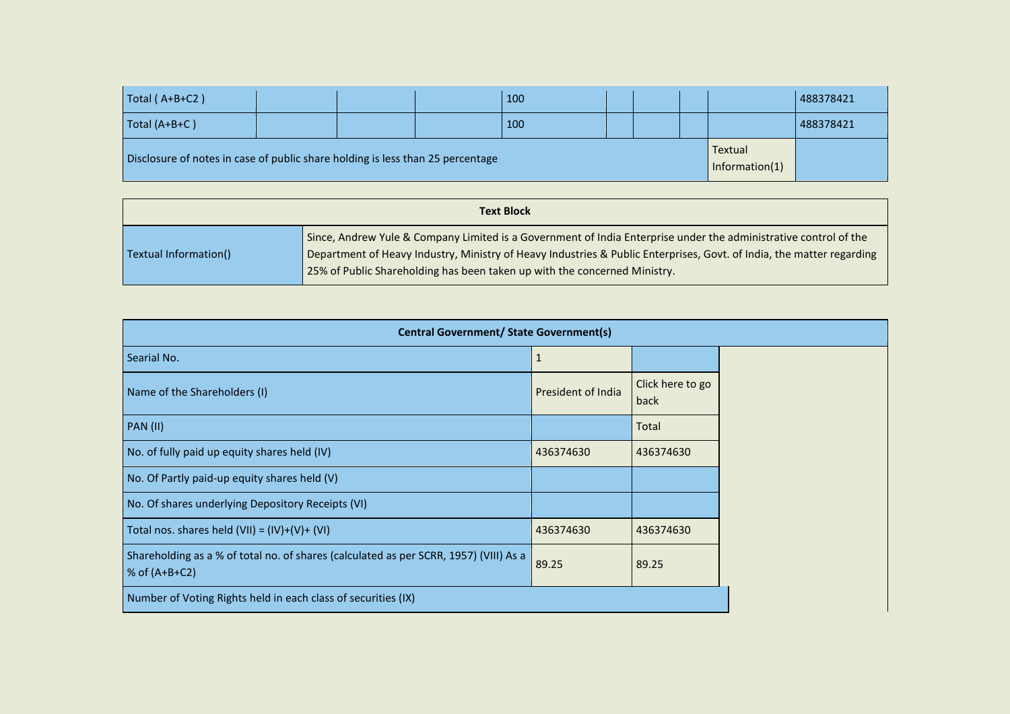| Total (A+B+C2)                                                                 |  | 100 |  |                           | 488378421 |
|--------------------------------------------------------------------------------|--|-----|--|---------------------------|-----------|
| Total (A+B+C)                                                                  |  | 100 |  |                           | 488378421 |
| Disclosure of notes in case of public share holding is less than 25 percentage |  |     |  | Textual<br>Information(1) |           |

|                       | <b>Text Block</b>                                                                                                                                                                                                                                                                                                      |
|-----------------------|------------------------------------------------------------------------------------------------------------------------------------------------------------------------------------------------------------------------------------------------------------------------------------------------------------------------|
| Textual Information() | Since, Andrew Yule & Company Limited is a Government of India Enterprise under the administrative control of the<br>Department of Heavy Industry, Ministry of Heavy Industries & Public Enterprises, Govt. of India, the matter regarding<br>25% of Public Shareholding has been taken up with the concerned Ministry. |

| <b>Central Government/ State Government(s)</b>                                                           |                    |                          |  |  |
|----------------------------------------------------------------------------------------------------------|--------------------|--------------------------|--|--|
| Searial No.                                                                                              | 1                  |                          |  |  |
| Name of the Shareholders (I)                                                                             | President of India | Click here to go<br>back |  |  |
| <b>PAN (II)</b>                                                                                          |                    | Total                    |  |  |
| No. of fully paid up equity shares held (IV)                                                             | 436374630          | 436374630                |  |  |
| No. Of Partly paid-up equity shares held (V)                                                             |                    |                          |  |  |
| No. Of shares underlying Depository Receipts (VI)                                                        |                    |                          |  |  |
| Total nos. shares held $(VII) = (IV)+(V)+(VI)$                                                           | 436374630          | 436374630                |  |  |
| Shareholding as a % of total no. of shares (calculated as per SCRR, 1957) (VIII) As a<br>% of $(A+B+C2)$ | 89.25              | 89.25                    |  |  |
| Number of Voting Rights held in each class of securities (IX)                                            |                    |                          |  |  |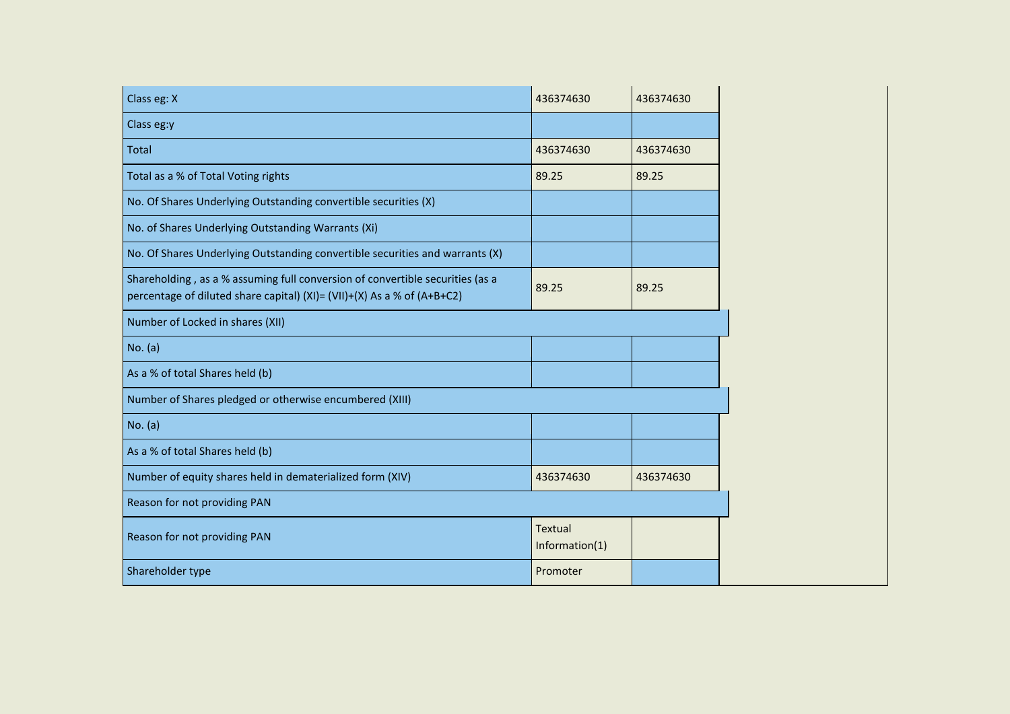| Class eg: X                                                                                                                                              | 436374630                        | 436374630 |
|----------------------------------------------------------------------------------------------------------------------------------------------------------|----------------------------------|-----------|
| Class eg:y                                                                                                                                               |                                  |           |
| Total                                                                                                                                                    | 436374630                        | 436374630 |
| Total as a % of Total Voting rights                                                                                                                      | 89.25                            | 89.25     |
| No. Of Shares Underlying Outstanding convertible securities (X)                                                                                          |                                  |           |
| No. of Shares Underlying Outstanding Warrants (Xi)                                                                                                       |                                  |           |
| No. Of Shares Underlying Outstanding convertible securities and warrants (X)                                                                             |                                  |           |
| Shareholding, as a % assuming full conversion of convertible securities (as a<br>percentage of diluted share capital) (XI)= (VII)+(X) As a % of (A+B+C2) | 89.25                            | 89.25     |
| Number of Locked in shares (XII)                                                                                                                         |                                  |           |
| No. (a)                                                                                                                                                  |                                  |           |
| As a % of total Shares held (b)                                                                                                                          |                                  |           |
| Number of Shares pledged or otherwise encumbered (XIII)                                                                                                  |                                  |           |
| No. (a)                                                                                                                                                  |                                  |           |
| As a % of total Shares held (b)                                                                                                                          |                                  |           |
| Number of equity shares held in dematerialized form (XIV)                                                                                                | 436374630                        | 436374630 |
| Reason for not providing PAN                                                                                                                             |                                  |           |
| Reason for not providing PAN                                                                                                                             | <b>Textual</b><br>Information(1) |           |
| Shareholder type                                                                                                                                         | Promoter                         |           |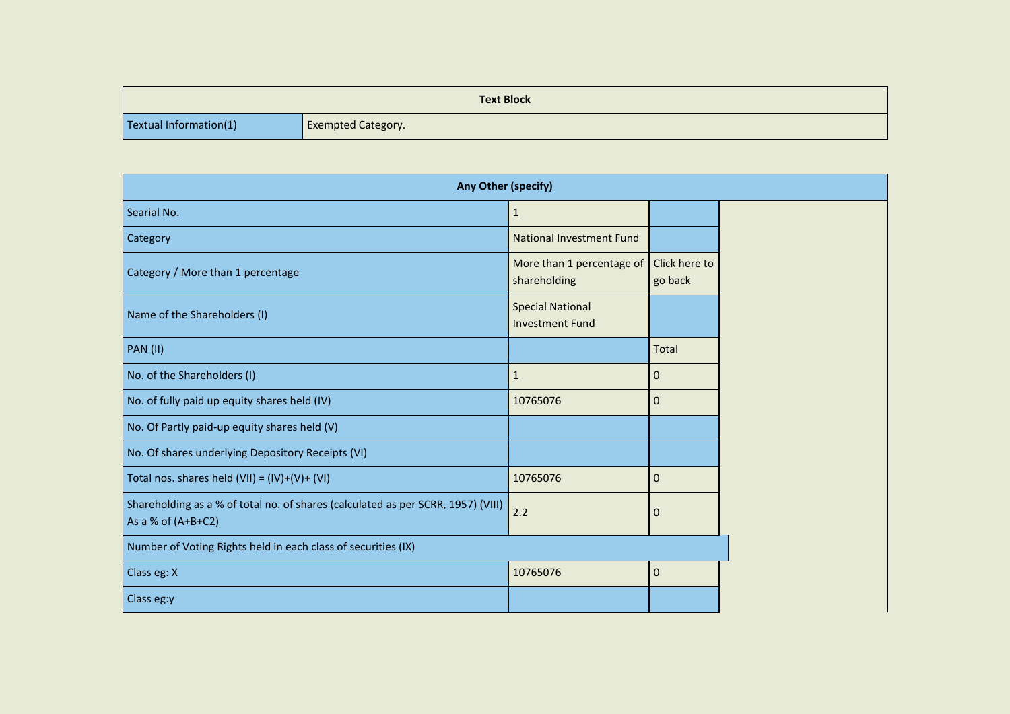|                        | <b>Text Block</b>         |
|------------------------|---------------------------|
| Textual Information(1) | <b>Exempted Category.</b> |

| Any Other (specify)                                                                                      |                                                   |                          |
|----------------------------------------------------------------------------------------------------------|---------------------------------------------------|--------------------------|
| Searial No.                                                                                              | $\mathbf{1}$                                      |                          |
| Category                                                                                                 | <b>National Investment Fund</b>                   |                          |
| Category / More than 1 percentage                                                                        | More than 1 percentage of<br>shareholding         | Click here to<br>go back |
| Name of the Shareholders (I)                                                                             | <b>Special National</b><br><b>Investment Fund</b> |                          |
| <b>PAN (II)</b>                                                                                          |                                                   | Total                    |
| No. of the Shareholders (I)                                                                              | $\mathbf{1}$                                      | $\mathbf 0$              |
| No. of fully paid up equity shares held (IV)                                                             | 10765076                                          | $\mathbf 0$              |
| No. Of Partly paid-up equity shares held (V)                                                             |                                                   |                          |
| No. Of shares underlying Depository Receipts (VI)                                                        |                                                   |                          |
| Total nos. shares held $(VII) = (IV)+(V)+(VI)$                                                           | 10765076                                          | $\mathbf{0}$             |
| Shareholding as a % of total no. of shares (calculated as per SCRR, 1957) (VIII)<br>As a % of $(A+B+C2)$ | 2.2                                               | $\mathbf 0$              |
| Number of Voting Rights held in each class of securities (IX)                                            |                                                   |                          |
| Class eg: X                                                                                              | 10765076                                          | $\mathbf 0$              |
| Class eg:y                                                                                               |                                                   |                          |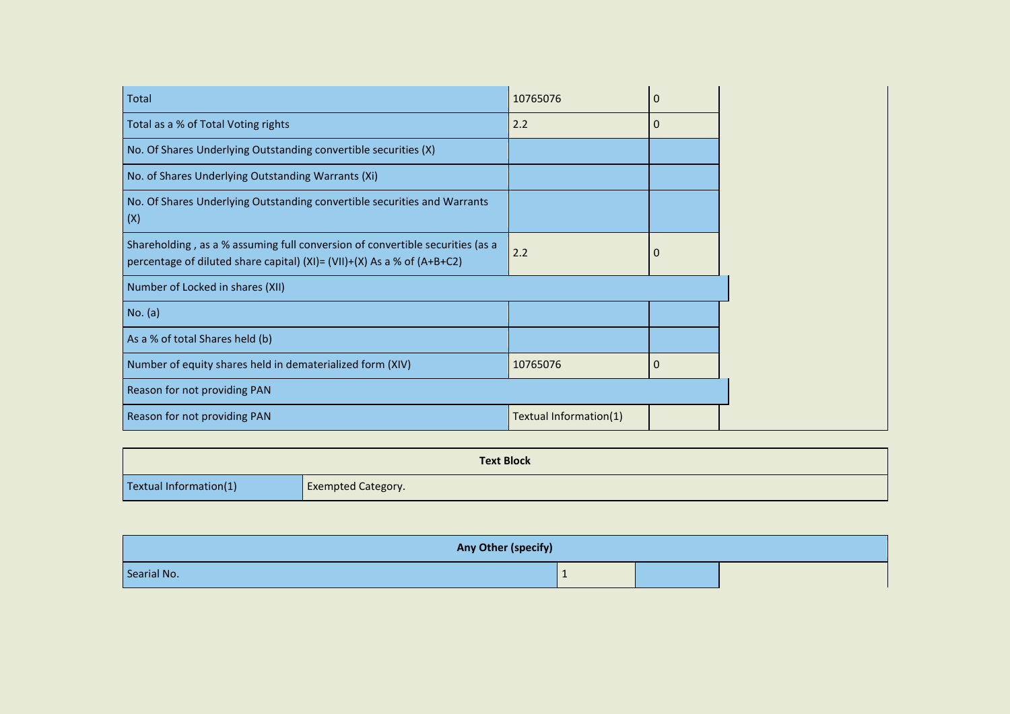| Total                                                                                                                                                    | 10765076               | $\mathbf 0$ |
|----------------------------------------------------------------------------------------------------------------------------------------------------------|------------------------|-------------|
| Total as a % of Total Voting rights                                                                                                                      | 2.2                    | 0           |
| No. Of Shares Underlying Outstanding convertible securities (X)                                                                                          |                        |             |
| No. of Shares Underlying Outstanding Warrants (Xi)                                                                                                       |                        |             |
| No. Of Shares Underlying Outstanding convertible securities and Warrants<br>(X)                                                                          |                        |             |
| Shareholding, as a % assuming full conversion of convertible securities (as a<br>percentage of diluted share capital) (XI)= (VII)+(X) As a % of (A+B+C2) | 2.2                    | 0           |
| Number of Locked in shares (XII)                                                                                                                         |                        |             |
| No. (a)                                                                                                                                                  |                        |             |
| As a % of total Shares held (b)                                                                                                                          |                        |             |
| Number of equity shares held in dematerialized form (XIV)                                                                                                | 10765076               | 0           |
| Reason for not providing PAN                                                                                                                             |                        |             |
| Reason for not providing PAN                                                                                                                             | Textual Information(1) |             |

|                        | <b>Text Block</b>         |
|------------------------|---------------------------|
| Textual Information(1) | <b>Exempted Category.</b> |

| Any Other (specify) |  |  |
|---------------------|--|--|
| Searial No.         |  |  |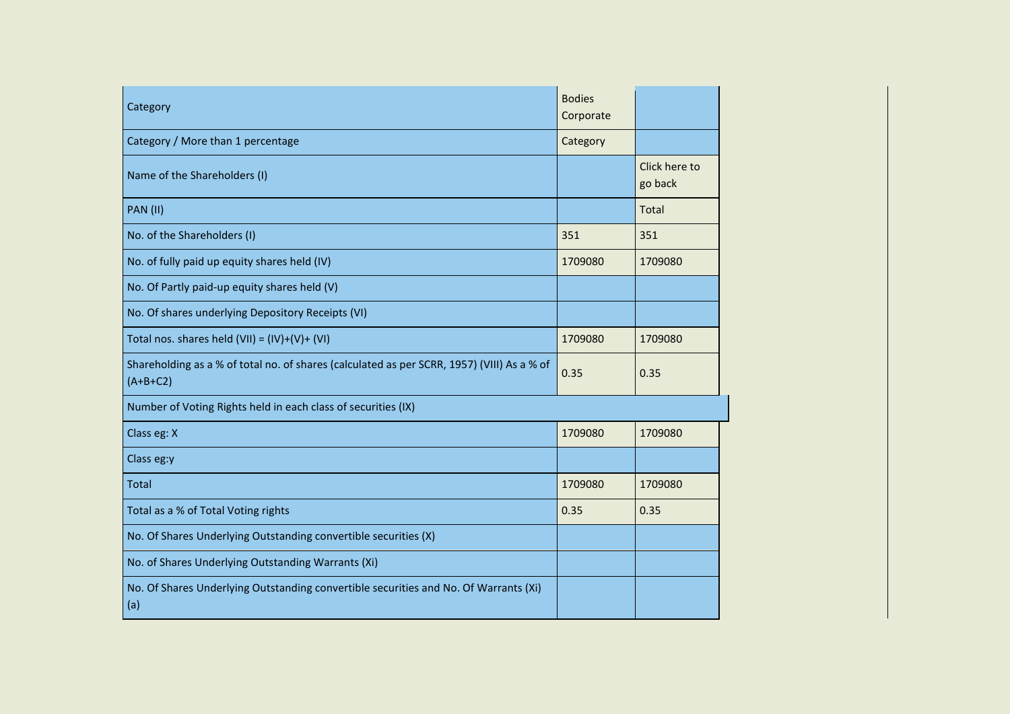| Category                                                                                                 | <b>Bodies</b><br>Corporate |                          |
|----------------------------------------------------------------------------------------------------------|----------------------------|--------------------------|
| Category / More than 1 percentage                                                                        | Category                   |                          |
| Name of the Shareholders (I)                                                                             |                            | Click here to<br>go back |
| <b>PAN (II)</b>                                                                                          |                            | Total                    |
| No. of the Shareholders (I)                                                                              | 351                        | 351                      |
| No. of fully paid up equity shares held (IV)                                                             | 1709080                    | 1709080                  |
| No. Of Partly paid-up equity shares held (V)                                                             |                            |                          |
| No. Of shares underlying Depository Receipts (VI)                                                        |                            |                          |
| Total nos. shares held $(VII) = (IV)+(V)+(VI)$                                                           | 1709080                    | 1709080                  |
| Shareholding as a % of total no. of shares (calculated as per SCRR, 1957) (VIII) As a % of<br>$(A+B+C2)$ | 0.35                       | 0.35                     |
| Number of Voting Rights held in each class of securities (IX)                                            |                            |                          |
| Class eg: X                                                                                              | 1709080                    | 1709080                  |
| Class eg:y                                                                                               |                            |                          |
| Total                                                                                                    | 1709080                    | 1709080                  |
| Total as a % of Total Voting rights                                                                      | 0.35                       | 0.35                     |
| No. Of Shares Underlying Outstanding convertible securities (X)                                          |                            |                          |
| No. of Shares Underlying Outstanding Warrants (Xi)                                                       |                            |                          |
| No. Of Shares Underlying Outstanding convertible securities and No. Of Warrants (Xi)<br>(a)              |                            |                          |